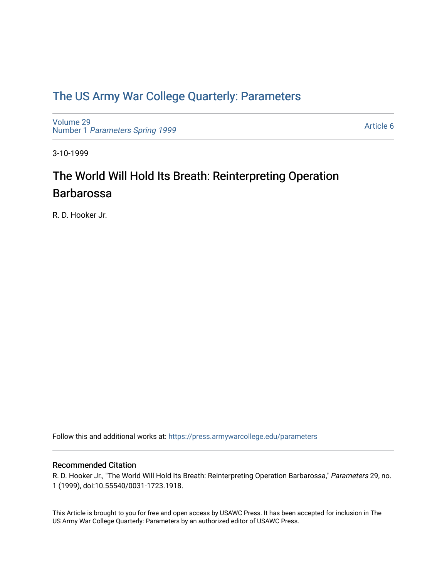### [The US Army War College Quarterly: Parameters](https://press.armywarcollege.edu/parameters)

[Volume 29](https://press.armywarcollege.edu/parameters/vol29) Number 1 [Parameters Spring 1999](https://press.armywarcollege.edu/parameters/vol29/iss1) 

[Article 6](https://press.armywarcollege.edu/parameters/vol29/iss1/6) 

3-10-1999

# The World Will Hold Its Breath: Reinterpreting Operation Barbarossa

R. D. Hooker Jr.

Follow this and additional works at: [https://press.armywarcollege.edu/parameters](https://press.armywarcollege.edu/parameters?utm_source=press.armywarcollege.edu%2Fparameters%2Fvol29%2Fiss1%2F6&utm_medium=PDF&utm_campaign=PDFCoverPages) 

#### Recommended Citation

R. D. Hooker Jr., "The World Will Hold Its Breath: Reinterpreting Operation Barbarossa," Parameters 29, no. 1 (1999), doi:10.55540/0031-1723.1918.

This Article is brought to you for free and open access by USAWC Press. It has been accepted for inclusion in The US Army War College Quarterly: Parameters by an authorized editor of USAWC Press.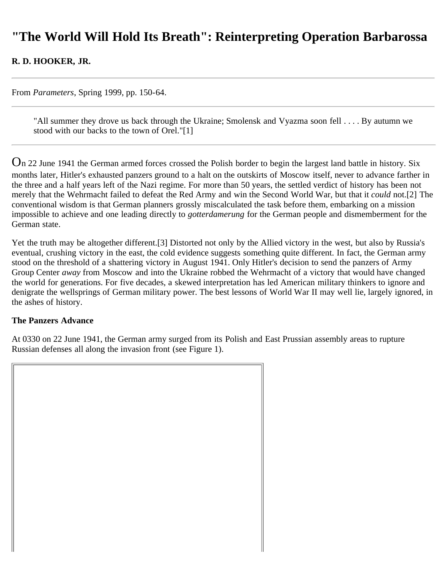## **"The World Will Hold Its Breath": Reinterpreting Operation Barbarossa**

### **R. D. HOOKER, JR.**

From *Parameters*, Spring 1999, pp. 150-64.

"All summer they drove us back through the Ukraine; Smolensk and Vyazma soon fell . . . . By autumn we stood with our backs to the town of Orel."[1]

On 22 June 1941 the German armed forces crossed the Polish border to begin the largest land battle in history. Six months later, Hitler's exhausted panzers ground to a halt on the outskirts of Moscow itself, never to advance farther in the three and a half years left of the Nazi regime. For more than 50 years, the settled verdict of history has been not merely that the Wehrmacht failed to defeat the Red Army and win the Second World War, but that it *could* not.[2] The conventional wisdom is that German planners grossly miscalculated the task before them, embarking on a mission impossible to achieve and one leading directly to *gotterdamerung* for the German people and dismemberment for the German state.

Yet the truth may be altogether different.[3] Distorted not only by the Allied victory in the west, but also by Russia's eventual, crushing victory in the east, the cold evidence suggests something quite different. In fact, the German army stood on the threshold of a shattering victory in August 1941. Only Hitler's decision to send the panzers of Army Group Center *away* from Moscow and into the Ukraine robbed the Wehrmacht of a victory that would have changed the world for generations. For five decades, a skewed interpretation has led American military thinkers to ignore and denigrate the wellsprings of German military power. The best lessons of World War II may well lie, largely ignored, in the ashes of history.

#### **The Panzers Advance**

At 0330 on 22 June 1941, the German army surged from its Polish and East Prussian assembly areas to rupture Russian defenses all along the invasion front (see Figure 1).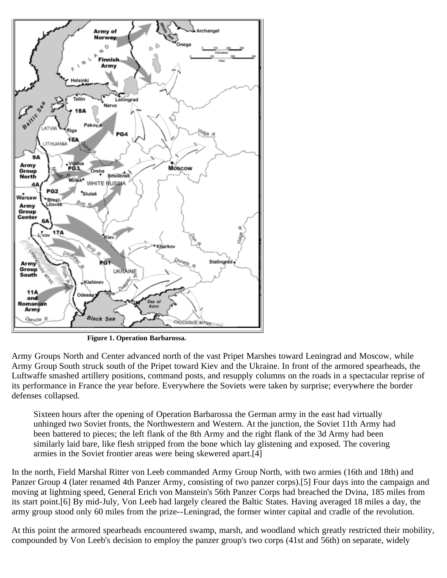

**Figure 1. Operation Barbarossa.**

Army Groups North and Center advanced north of the vast Pripet Marshes toward Leningrad and Moscow, while Army Group South struck south of the Pripet toward Kiev and the Ukraine. In front of the armored spearheads, the Luftwaffe smashed artillery positions, command posts, and resupply columns on the roads in a spectacular reprise of its performance in France the year before. Everywhere the Soviets were taken by surprise; everywhere the border defenses collapsed.

Sixteen hours after the opening of Operation Barbarossa the German army in the east had virtually unhinged two Soviet fronts, the Northwestern and Western. At the junction, the Soviet 11th Army had been battered to pieces; the left flank of the 8th Army and the right flank of the 3d Army had been similarly laid bare, like flesh stripped from the bone which lay glistening and exposed. The covering armies in the Soviet frontier areas were being skewered apart.[4]

In the north, Field Marshal Ritter von Leeb commanded Army Group North, with two armies (16th and 18th) and Panzer Group 4 (later renamed 4th Panzer Army, consisting of two panzer corps).[5] Four days into the campaign and moving at lightning speed, General Erich von Manstein's 56th Panzer Corps had breached the Dvina, 185 miles from its start point.[6] By mid-July, Von Leeb had largely cleared the Baltic States. Having averaged 18 miles a day, the army group stood only 60 miles from the prize--Leningrad, the former winter capital and cradle of the revolution.

At this point the armored spearheads encountered swamp, marsh, and woodland which greatly restricted their mobility, compounded by Von Leeb's decision to employ the panzer group's two corps (41st and 56th) on separate, widely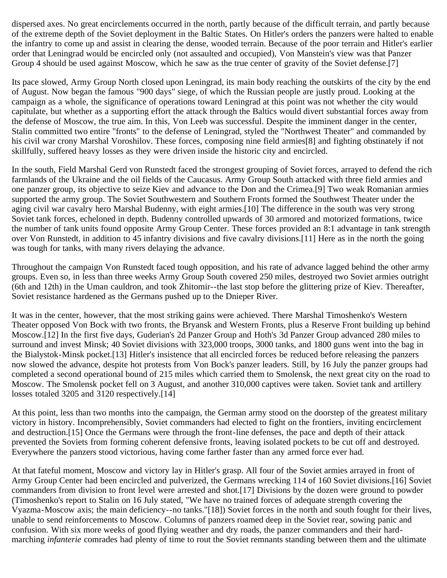dispersed axes. No great encirclements occurred in the north, partly because of the difficult terrain, and partly because of the extreme depth of the Soviet deployment in the Baltic States. On Hitler's orders the panzers were halted to enable the infantry to come up and assist in clearing the dense, wooded terrain. Because of the poor terrain and Hitler's earlier order that Leningrad would be encircled only (not assaulted and occupied), Von Manstein's view was that Panzer Group 4 should be used against Moscow, which he saw as the true center of gravity of the Soviet defense.[7]

Its pace slowed, Army Group North closed upon Leningrad, its main body reaching the outskirts of the city by the end of August. Now began the famous "900 days" siege, of which the Russian people are justly proud. Looking at the campaign as a whole, the significance of operations toward Leningrad at this point was not whether the city would capitulate, but whether as a supporting effort the attack through the Baltics would divert substantial forces away from the defense of Moscow, the true aim. In this, Von Leeb was successful. Despite the imminent danger in the center, Stalin committed two entire "fronts" to the defense of Leningrad, styled the "Northwest Theater" and commanded by his civil war crony Marshal Voroshilov. These forces, composing nine field armies[8] and fighting obstinately if not skillfully, suffered heavy losses as they were driven inside the historic city and encircled.

In the south, Field Marshal Gerd von Runstedt faced the strongest grouping of Soviet forces, arrayed to defend the rich farmlands of the Ukraine and the oil fields of the Caucasus. Army Group South attacked with three field armies and one panzer group, its objective to seize Kiev and advance to the Don and the Crimea.[9] Two weak Romanian armies supported the army group. The Soviet Southwestern and Southern Fronts formed the Southwest Theater under the aging civil war cavalry hero Marshal Budenny, with eight armies.[10] The difference in the south was very strong Soviet tank forces, echeloned in depth. Budenny controlled upwards of 30 armored and motorized formations, twice the number of tank units found opposite Army Group Center. These forces provided an 8:1 advantage in tank strength over Von Runstedt, in addition to 45 infantry divisions and five cavalry divisions.[11] Here as in the north the going was tough for tanks, with many rivers delaying the advance.

Throughout the campaign Von Runstedt faced tough opposition, and his rate of advance lagged behind the other army groups. Even so, in less than three weeks Army Group South covered 250 miles, destroyed two Soviet armies outright (6th and 12th) in the Uman cauldron, and took Zhitomir--the last stop before the glittering prize of Kiev. Thereafter, Soviet resistance hardened as the Germans pushed up to the Dnieper River.

It was in the center, however, that the most striking gains were achieved. There Marshal Timoshenko's Western Theater opposed Von Bock with two fronts, the Bryansk and Western Fronts, plus a Reserve Front building up behind Moscow.[12] In the first five days, Guderian's 2d Panzer Group and Hoth's 3d Panzer Group advanced 280 miles to surround and invest Minsk; 40 Soviet divisions with 323,000 troops, 3000 tanks, and 1800 guns went into the bag in the Bialystok-Minsk pocket.[13] Hitler's insistence that all encircled forces be reduced before releasing the panzers now slowed the advance, despite hot protests from Von Bock's panzer leaders. Still, by 16 July the panzer groups had completed a second operational bound of 215 miles which carried them to Smolensk, the next great city on the road to Moscow. The Smolensk pocket fell on 3 August, and another 310,000 captives were taken. Soviet tank and artillery losses totaled 3205 and 3120 respectively.[14]

At this point, less than two months into the campaign, the German army stood on the doorstep of the greatest military victory in history. Incomprehensibly, Soviet commanders had elected to fight on the frontiers, inviting encirclement and destruction.[15] Once the Germans were through the front-line defenses, the pace and depth of their attack prevented the Soviets from forming coherent defensive fronts, leaving isolated pockets to be cut off and destroyed. Everywhere the panzers stood victorious, having come farther faster than any armed force ever had.

At that fateful moment, Moscow and victory lay in Hitler's grasp. All four of the Soviet armies arrayed in front of Army Group Center had been encircled and pulverized, the Germans wrecking 114 of 160 Soviet divisions.[16] Soviet commanders from division to front level were arrested and shot.[17] Divisions by the dozen were ground to powder (Timoshenko's report to Stalin on 16 July stated, "We have no trained forces of adequate strength covering the Vyazma-Moscow axis; the main deficiency--no tanks."[18]) Soviet forces in the north and south fought for their lives, unable to send reinforcements to Moscow. Columns of panzers roamed deep in the Soviet rear, sowing panic and confusion. With six more weeks of good flying weather and dry roads, the panzer commanders and their hardmarching *infanterie* comrades had plenty of time to rout the Soviet remnants standing between them and the ultimate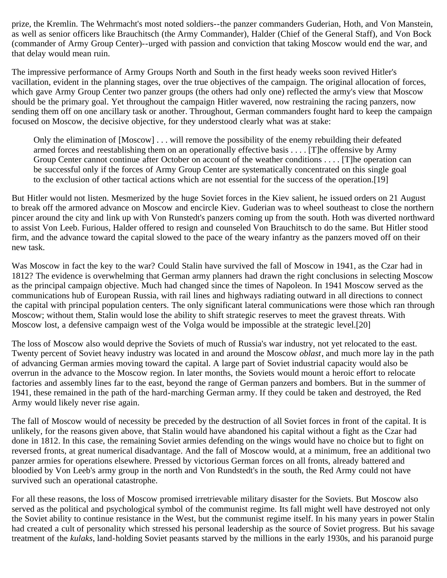prize, the Kremlin. The Wehrmacht's most noted soldiers--the panzer commanders Guderian, Hoth, and Von Manstein, as well as senior officers like Brauchitsch (the Army Commander), Halder (Chief of the General Staff), and Von Bock (commander of Army Group Center)--urged with passion and conviction that taking Moscow would end the war, and that delay would mean ruin.

The impressive performance of Army Groups North and South in the first heady weeks soon revived Hitler's vacillation, evident in the planning stages, over the true objectives of the campaign. The original allocation of forces, which gave Army Group Center two panzer groups (the others had only one) reflected the army's view that Moscow should be the primary goal. Yet throughout the campaign Hitler wavered, now restraining the racing panzers, now sending them off on one ancillary task or another. Throughout, German commanders fought hard to keep the campaign focused on Moscow, the decisive objective, for they understood clearly what was at stake:

Only the elimination of [Moscow] . . . will remove the possibility of the enemy rebuilding their defeated armed forces and reestablishing them on an operationally effective basis . . . . [T]he offensive by Army Group Center cannot continue after October on account of the weather conditions . . . . [T]he operation can be successful only if the forces of Army Group Center are systematically concentrated on this single goal to the exclusion of other tactical actions which are not essential for the success of the operation.[19]

But Hitler would not listen. Mesmerized by the huge Soviet forces in the Kiev salient, he issued orders on 21 August to break off the armored advance on Moscow and encircle Kiev. Guderian was to wheel southeast to close the northern pincer around the city and link up with Von Runstedt's panzers coming up from the south. Hoth was diverted northward to assist Von Leeb. Furious, Halder offered to resign and counseled Von Brauchitsch to do the same. But Hitler stood firm, and the advance toward the capital slowed to the pace of the weary infantry as the panzers moved off on their new task.

Was Moscow in fact the key to the war? Could Stalin have survived the fall of Moscow in 1941, as the Czar had in 1812? The evidence is overwhelming that German army planners had drawn the right conclusions in selecting Moscow as the principal campaign objective. Much had changed since the times of Napoleon. In 1941 Moscow served as the communications hub of European Russia, with rail lines and highways radiating outward in all directions to connect the capital with principal population centers. The only significant lateral communications were those which ran through Moscow; without them, Stalin would lose the ability to shift strategic reserves to meet the gravest threats. With Moscow lost, a defensive campaign west of the Volga would be impossible at the strategic level.[20]

The loss of Moscow also would deprive the Soviets of much of Russia's war industry, not yet relocated to the east. Twenty percent of Soviet heavy industry was located in and around the Moscow *oblast*, and much more lay in the path of advancing German armies moving toward the capital. A large part of Soviet industrial capacity would also be overrun in the advance to the Moscow region. In later months, the Soviets would mount a heroic effort to relocate factories and assembly lines far to the east, beyond the range of German panzers and bombers. But in the summer of 1941, these remained in the path of the hard-marching German army. If they could be taken and destroyed, the Red Army would likely never rise again.

The fall of Moscow would of necessity be preceded by the destruction of all Soviet forces in front of the capital. It is unlikely, for the reasons given above, that Stalin would have abandoned his capital without a fight as the Czar had done in 1812. In this case, the remaining Soviet armies defending on the wings would have no choice but to fight on reversed fronts, at great numerical disadvantage. And the fall of Moscow would, at a minimum, free an additional two panzer armies for operations elsewhere. Pressed by victorious German forces on all fronts, already battered and bloodied by Von Leeb's army group in the north and Von Rundstedt's in the south, the Red Army could not have survived such an operational catastrophe.

For all these reasons, the loss of Moscow promised irretrievable military disaster for the Soviets. But Moscow also served as the political and psychological symbol of the communist regime. Its fall might well have destroyed not only the Soviet ability to continue resistance in the West, but the communist regime itself. In his many years in power Stalin had created a cult of personality which stressed his personal leadership as the source of Soviet progress. But his savage treatment of the *kulaks*, land-holding Soviet peasants starved by the millions in the early 1930s, and his paranoid purge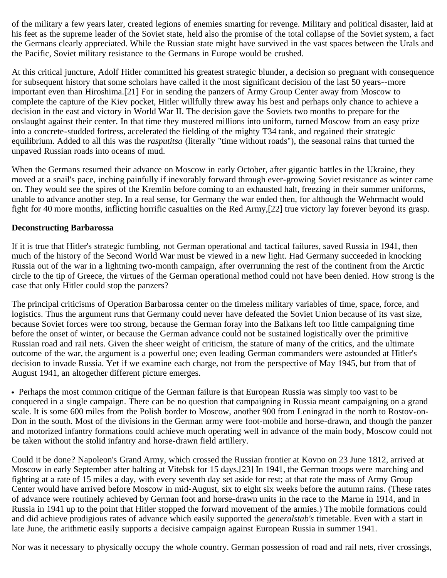of the military a few years later, created legions of enemies smarting for revenge. Military and political disaster, laid at his feet as the supreme leader of the Soviet state, held also the promise of the total collapse of the Soviet system, a fact the Germans clearly appreciated. While the Russian state might have survived in the vast spaces between the Urals and the Pacific, Soviet military resistance to the Germans in Europe would be crushed.

At this critical juncture, Adolf Hitler committed his greatest strategic blunder, a decision so pregnant with consequence for subsequent history that some scholars have called it the most significant decision of the last 50 years--more important even than Hiroshima.[21] For in sending the panzers of Army Group Center away from Moscow to complete the capture of the Kiev pocket, Hitler willfully threw away his best and perhaps only chance to achieve a decision in the east and victory in World War II. The decision gave the Soviets two months to prepare for the onslaught against their center. In that time they mustered millions into uniform, turned Moscow from an easy prize into a concrete-studded fortress, accelerated the fielding of the mighty T34 tank, and regained their strategic equilibrium. Added to all this was the *rasputitsa* (literally "time without roads"), the seasonal rains that turned the unpaved Russian roads into oceans of mud.

When the Germans resumed their advance on Moscow in early October, after gigantic battles in the Ukraine, they moved at a snail's pace, inching painfully if inexorably forward through ever-growing Soviet resistance as winter came on. They would see the spires of the Kremlin before coming to an exhausted halt, freezing in their summer uniforms, unable to advance another step. In a real sense, for Germany the war ended then, for although the Wehrmacht would fight for 40 more months, inflicting horrific casualties on the Red Army,[22] true victory lay forever beyond its grasp.

#### **Deconstructing Barbarossa**

If it is true that Hitler's strategic fumbling, not German operational and tactical failures, saved Russia in 1941, then much of the history of the Second World War must be viewed in a new light. Had Germany succeeded in knocking Russia out of the war in a lightning two-month campaign, after overrunning the rest of the continent from the Arctic circle to the tip of Greece, the virtues of the German operational method could not have been denied. How strong is the case that only Hitler could stop the panzers?

The principal criticisms of Operation Barbarossa center on the timeless military variables of time, space, force, and logistics. Thus the argument runs that Germany could never have defeated the Soviet Union because of its vast size, because Soviet forces were too strong, because the German foray into the Balkans left too little campaigning time before the onset of winter, or because the German advance could not be sustained logistically over the primitive Russian road and rail nets. Given the sheer weight of criticism, the stature of many of the critics, and the ultimate outcome of the war, the argument is a powerful one; even leading German commanders were astounded at Hitler's decision to invade Russia. Yet if we examine each charge, not from the perspective of May 1945, but from that of August 1941, an altogether different picture emerges.

Perhaps the most common critique of the German failure is that European Russia was simply too vast to be conquered in a single campaign. There can be no question that campaigning in Russia meant campaigning on a grand scale. It is some 600 miles from the Polish border to Moscow, another 900 from Leningrad in the north to Rostov-on-Don in the south. Most of the divisions in the German army were foot-mobile and horse-drawn, and though the panzer and motorized infantry formations could achieve much operating well in advance of the main body, Moscow could not be taken without the stolid infantry and horse-drawn field artillery.

Could it be done? Napoleon's Grand Army, which crossed the Russian frontier at Kovno on 23 June 1812, arrived at Moscow in early September after halting at Vitebsk for 15 days.[23] In 1941, the German troops were marching and fighting at a rate of 15 miles a day, with every seventh day set aside for rest; at that rate the mass of Army Group Center would have arrived before Moscow in mid-August, six to eight six weeks before the autumn rains. (These rates of advance were routinely achieved by German foot and horse-drawn units in the race to the Marne in 1914, and in Russia in 1941 up to the point that Hitler stopped the forward movement of the armies.) The mobile formations could and did achieve prodigious rates of advance which easily supported the *generalstab's* timetable. Even with a start in late June, the arithmetic easily supports a decisive campaign against European Russia in summer 1941.

Nor was it necessary to physically occupy the whole country. German possession of road and rail nets, river crossings,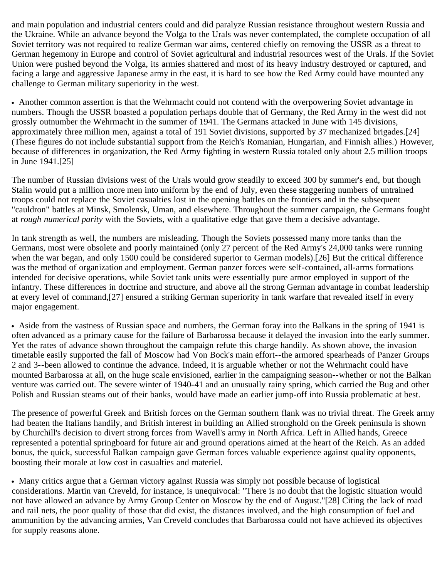and main population and industrial centers could and did paralyze Russian resistance throughout western Russia and the Ukraine. While an advance beyond the Volga to the Urals was never contemplated, the complete occupation of all Soviet territory was not required to realize German war aims, centered chiefly on removing the USSR as a threat to German hegemony in Europe and control of Soviet agricultural and industrial resources west of the Urals. If the Soviet Union were pushed beyond the Volga, its armies shattered and most of its heavy industry destroyed or captured, and facing a large and aggressive Japanese army in the east, it is hard to see how the Red Army could have mounted any challenge to German military superiority in the west.

Another common assertion is that the Wehrmacht could not contend with the overpowering Soviet advantage in numbers. Though the USSR boasted a population perhaps double that of Germany, the Red Army in the west did not grossly outnumber the Wehrmacht in the summer of 1941. The Germans attacked in June with 145 divisions, approximately three million men, against a total of 191 Soviet divisions, supported by 37 mechanized brigades.[24] (These figures do not include substantial support from the Reich's Romanian, Hungarian, and Finnish allies.) However, because of differences in organization, the Red Army fighting in western Russia totaled only about 2.5 million troops in June 1941.[25]

The number of Russian divisions west of the Urals would grow steadily to exceed 300 by summer's end, but though Stalin would put a million more men into uniform by the end of July, even these staggering numbers of untrained troops could not replace the Soviet casualties lost in the opening battles on the frontiers and in the subsequent "cauldron" battles at Minsk, Smolensk, Uman, and elsewhere. Throughout the summer campaign, the Germans fought at *rough numerical parity* with the Soviets, with a qualitative edge that gave them a decisive advantage.

In tank strength as well, the numbers are misleading. Though the Soviets possessed many more tanks than the Germans, most were obsolete and poorly maintained (only 27 percent of the Red Army's 24,000 tanks were running when the war began, and only 1500 could be considered superior to German models).[26] But the critical difference was the method of organization and employment. German panzer forces were self-contained, all-arms formations intended for decisive operations, while Soviet tank units were essentially pure armor employed in support of the infantry. These differences in doctrine and structure, and above all the strong German advantage in combat leadership at every level of command,[27] ensured a striking German superiority in tank warfare that revealed itself in every major engagement.

Aside from the vastness of Russian space and numbers, the German foray into the Balkans in the spring of 1941 is often advanced as a primary cause for the failure of Barbarossa because it delayed the invasion into the early summer. Yet the rates of advance shown throughout the campaign refute this charge handily. As shown above, the invasion timetable easily supported the fall of Moscow had Von Bock's main effort--the armored spearheads of Panzer Groups 2 and 3--been allowed to continue the advance. Indeed, it is arguable whether or not the Wehrmacht could have mounted Barbarossa at all, on the huge scale envisioned, earlier in the campaigning season--whether or not the Balkan venture was carried out. The severe winter of 1940-41 and an unusually rainy spring, which carried the Bug and other Polish and Russian steams out of their banks, would have made an earlier jump-off into Russia problematic at best.

The presence of powerful Greek and British forces on the German southern flank was no trivial threat. The Greek army had beaten the Italians handily, and British interest in building an Allied stronghold on the Greek peninsula is shown by Churchill's decision to divert strong forces from Wavell's army in North Africa. Left in Allied hands, Greece represented a potential springboard for future air and ground operations aimed at the heart of the Reich. As an added bonus, the quick, successful Balkan campaign gave German forces valuable experience against quality opponents, boosting their morale at low cost in casualties and materiel.

Many critics argue that a German victory against Russia was simply not possible because of logistical considerations. Martin van Creveld, for instance, is unequivocal: "There is no doubt that the logistic situation would not have allowed an advance by Army Group Center on Moscow by the end of August."[28] Citing the lack of road and rail nets, the poor quality of those that did exist, the distances involved, and the high consumption of fuel and ammunition by the advancing armies, Van Creveld concludes that Barbarossa could not have achieved its objectives for supply reasons alone.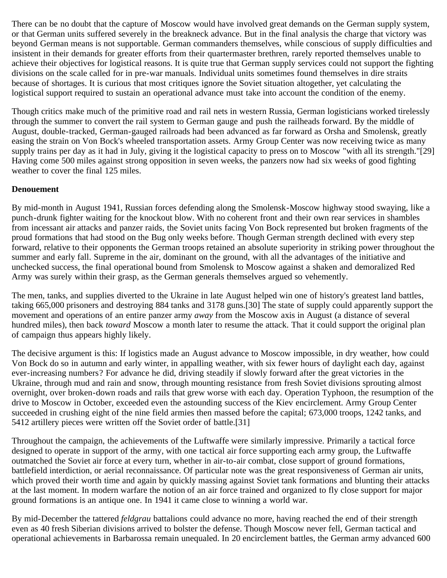There can be no doubt that the capture of Moscow would have involved great demands on the German supply system, or that German units suffered severely in the breakneck advance. But in the final analysis the charge that victory was beyond German means is not supportable. German commanders themselves, while conscious of supply difficulties and insistent in their demands for greater efforts from their quartermaster brethren, rarely reported themselves unable to achieve their objectives for logistical reasons. It is quite true that German supply services could not support the fighting divisions on the scale called for in pre-war manuals. Individual units sometimes found themselves in dire straits because of shortages. It is curious that most critiques ignore the Soviet situation altogether, yet calculating the logistical support required to sustain an operational advance must take into account the condition of the enemy.

Though critics make much of the primitive road and rail nets in western Russia, German logisticians worked tirelessly through the summer to convert the rail system to German gauge and push the railheads forward. By the middle of August, double-tracked, German-gauged railroads had been advanced as far forward as Orsha and Smolensk, greatly easing the strain on Von Bock's wheeled transportation assets. Army Group Center was now receiving twice as many supply trains per day as it had in July, giving it the logistical capacity to press on to Moscow "with all its strength."[29] Having come 500 miles against strong opposition in seven weeks, the panzers now had six weeks of good fighting weather to cover the final 125 miles.

#### **Denouement**

By mid-month in August 1941, Russian forces defending along the Smolensk-Moscow highway stood swaying, like a punch-drunk fighter waiting for the knockout blow. With no coherent front and their own rear services in shambles from incessant air attacks and panzer raids, the Soviet units facing Von Bock represented but broken fragments of the proud formations that had stood on the Bug only weeks before. Though German strength declined with every step forward, relative to their opponents the German troops retained an absolute superiority in striking power throughout the summer and early fall. Supreme in the air, dominant on the ground, with all the advantages of the initiative and unchecked success, the final operational bound from Smolensk to Moscow against a shaken and demoralized Red Army was surely within their grasp, as the German generals themselves argued so vehemently.

The men, tanks, and supplies diverted to the Ukraine in late August helped win one of history's greatest land battles, taking 665,000 prisoners and destroying 884 tanks and 3178 guns.[30] The state of supply could apparently support the movement and operations of an entire panzer army *away* from the Moscow axis in August (a distance of several hundred miles), then back *toward* Moscow a month later to resume the attack. That it could support the original plan of campaign thus appears highly likely.

The decisive argument is this: If logistics made an August advance to Moscow impossible, in dry weather, how could Von Bock do so in autumn and early winter, in appalling weather, with six fewer hours of daylight each day, against ever-increasing numbers? For advance he did, driving steadily if slowly forward after the great victories in the Ukraine, through mud and rain and snow, through mounting resistance from fresh Soviet divisions sprouting almost overnight, over broken-down roads and rails that grew worse with each day. Operation Typhoon*,* the resumption of the drive to Moscow in October, exceeded even the astounding success of the Kiev encirclement. Army Group Center succeeded in crushing eight of the nine field armies then massed before the capital; 673,000 troops, 1242 tanks, and 5412 artillery pieces were written off the Soviet order of battle.[31]

Throughout the campaign, the achievements of the Luftwaffe were similarly impressive. Primarily a tactical force designed to operate in support of the army, with one tactical air force supporting each army group, the Luftwaffe outmatched the Soviet air force at every turn, whether in air-to-air combat, close support of ground formations, battlefield interdiction, or aerial reconnaissance. Of particular note was the great responsiveness of German air units, which proved their worth time and again by quickly massing against Soviet tank formations and blunting their attacks at the last moment. In modern warfare the notion of an air force trained and organized to fly close support for major ground formations is an antique one. In 1941 it came close to winning a world war.

By mid-December the tattered *feldgrau* battalions could advance no more, having reached the end of their strength even as 40 fresh Siberian divisions arrived to bolster the defense. Though Moscow never fell, German tactical and operational achievements in Barbarossa remain unequaled. In 20 encirclement battles, the German army advanced 600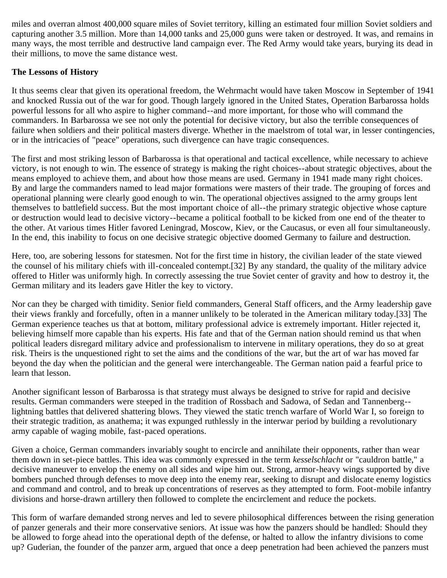miles and overran almost 400,000 square miles of Soviet territory, killing an estimated four million Soviet soldiers and capturing another 3.5 million. More than 14,000 tanks and 25,000 guns were taken or destroyed. It was, and remains in many ways, the most terrible and destructive land campaign ever. The Red Army would take years, burying its dead in their millions, to move the same distance west.

### **The Lessons of History**

It thus seems clear that given its operational freedom, the Wehrmacht would have taken Moscow in September of 1941 and knocked Russia out of the war for good. Though largely ignored in the United States, Operation Barbarossa holds powerful lessons for all who aspire to higher command--and more important, for those who will command the commanders. In Barbarossa we see not only the potential for decisive victory, but also the terrible consequences of failure when soldiers and their political masters diverge. Whether in the maelstrom of total war, in lesser contingencies, or in the intricacies of "peace" operations, such divergence can have tragic consequences.

The first and most striking lesson of Barbarossa is that operational and tactical excellence, while necessary to achieve victory, is not enough to win. The essence of strategy is making the right choices--about strategic objectives, about the means employed to achieve them, and about how those means are used. Germany in 1941 made many right choices. By and large the commanders named to lead major formations were masters of their trade. The grouping of forces and operational planning were clearly good enough to win. The operational objectives assigned to the army groups lent themselves to battlefield success. But the most important choice of all--the primary strategic objective whose capture or destruction would lead to decisive victory--became a political football to be kicked from one end of the theater to the other. At various times Hitler favored Leningrad, Moscow, Kiev, or the Caucasus, or even all four simultaneously. In the end, this inability to focus on one decisive strategic objective doomed Germany to failure and destruction.

Here, too, are sobering lessons for statesmen. Not for the first time in history, the civilian leader of the state viewed the counsel of his military chiefs with ill-concealed contempt.[32] By any standard, the quality of the military advice offered to Hitler was uniformly high. In correctly assessing the true Soviet center of gravity and how to destroy it, the German military and its leaders gave Hitler the key to victory.

Nor can they be charged with timidity. Senior field commanders, General Staff officers, and the Army leadership gave their views frankly and forcefully, often in a manner unlikely to be tolerated in the American military today.[33] The German experience teaches us that at bottom, military professional advice is extremely important. Hitler rejected it, believing himself more capable than his experts. His fate and that of the German nation should remind us that when political leaders disregard military advice and professionalism to intervene in military operations, they do so at great risk. Theirs is the unquestioned right to set the aims and the conditions of the war, but the art of war has moved far beyond the day when the politician and the general were interchangeable. The German nation paid a fearful price to learn that lesson.

Another significant lesson of Barbarossa is that strategy must always be designed to strive for rapid and decisive results. German commanders were steeped in the tradition of Rossbach and Sadowa, of Sedan and Tannenberg- lightning battles that delivered shattering blows. They viewed the static trench warfare of World War I, so foreign to their strategic tradition, as anathema; it was expunged ruthlessly in the interwar period by building a revolutionary army capable of waging mobile, fast-paced operations.

Given a choice, German commanders invariably sought to encircle and annihilate their opponents, rather than wear them down in set-piece battles. This idea was commonly expressed in the term *kesselschlacht* or "cauldron battle," a decisive maneuver to envelop the enemy on all sides and wipe him out. Strong, armor-heavy wings supported by dive bombers punched through defenses to move deep into the enemy rear, seeking to disrupt and dislocate enemy logistics and command and control, and to break up concentrations of reserves as they attempted to form. Foot-mobile infantry divisions and horse-drawn artillery then followed to complete the encirclement and reduce the pockets.

This form of warfare demanded strong nerves and led to severe philosophical differences between the rising generation of panzer generals and their more conservative seniors. At issue was how the panzers should be handled: Should they be allowed to forge ahead into the operational depth of the defense, or halted to allow the infantry divisions to come up? Guderian, the founder of the panzer arm, argued that once a deep penetration had been achieved the panzers must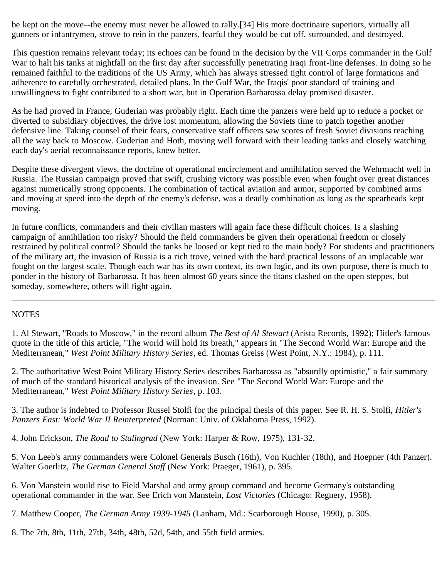be kept on the move--the enemy must never be allowed to rally.[34] His more doctrinaire superiors, virtually all gunners or infantrymen, strove to rein in the panzers, fearful they would be cut off, surrounded, and destroyed.

This question remains relevant today; its echoes can be found in the decision by the VII Corps commander in the Gulf War to halt his tanks at nightfall on the first day after successfully penetrating Iraqi front-line defenses. In doing so he remained faithful to the traditions of the US Army, which has always stressed tight control of large formations and adherence to carefully orchestrated, detailed plans. In the Gulf War, the Iraqis' poor standard of training and unwillingness to fight contributed to a short war, but in Operation Barbarossa delay promised disaster.

As he had proved in France, Guderian was probably right. Each time the panzers were held up to reduce a pocket or diverted to subsidiary objectives, the drive lost momentum, allowing the Soviets time to patch together another defensive line. Taking counsel of their fears, conservative staff officers saw scores of fresh Soviet divisions reaching all the way back to Moscow. Guderian and Hoth, moving well forward with their leading tanks and closely watching each day's aerial reconnaissance reports, knew better.

Despite these divergent views, the doctrine of operational encirclement and annihilation served the Wehrmacht well in Russia. The Russian campaign proved that swift, crushing victory was possible even when fought over great distances against numerically strong opponents. The combination of tactical aviation and armor, supported by combined arms and moving at speed into the depth of the enemy's defense, was a deadly combination as long as the spearheads kept moving.

In future conflicts, commanders and their civilian masters will again face these difficult choices. Is a slashing campaign of annihilation too risky? Should the field commanders be given their operational freedom or closely restrained by political control? Should the tanks be loosed or kept tied to the main body? For students and practitioners of the military art, the invasion of Russia is a rich trove, veined with the hard practical lessons of an implacable war fought on the largest scale. Though each war has its own context, its own logic, and its own purpose, there is much to ponder in the history of Barbarossa. It has been almost 60 years since the titans clashed on the open steppes, but someday, somewhere, others will fight again.

#### **NOTES**

1. Al Stewart, "Roads to Moscow," in the record album *The Best of Al Stewart* (Arista Records, 1992); Hitler's famous quote in the title of this article, "The world will hold its breath," appears in "The Second World War: Europe and the Mediterranean," *West Point Military History Series*, ed. Thomas Greiss (West Point, N.Y.: 1984), p. 111.

2. The authoritative West Point Military History Series describes Barbarossa as "absurdly optimistic," a fair summary of much of the standard historical analysis of the invasion. See "The Second World War: Europe and the Mediterranean," *West Point Military History Series*, p. 103.

3. The author is indebted to Professor Russel Stolfi for the principal thesis of this paper. See R. H. S. Stolfi, *Hitler's Panzers East: World War II Reinterpreted* (Norman: Univ. of Oklahoma Press, 1992).

4. John Erickson, *The Road to Stalingrad* (New York: Harper & Row, 1975), 131-32.

5. Von Leeb's army commanders were Colonel Generals Busch (16th), Von Kuchler (18th), and Hoepner (4th Panzer). Walter Goerlitz, *The German General Staff* (New York: Praeger, 1961), p. 395.

6. Von Manstein would rise to Field Marshal and army group command and become Germany's outstanding operational commander in the war. See Erich von Manstein, *Lost Victories* (Chicago: Regnery, 1958).

7. Matthew Cooper, *The German Army 1939-1945* (Lanham, Md.: Scarborough House, 1990), p. 305.

8. The 7th, 8th, 11th, 27th, 34th, 48th, 52d, 54th, and 55th field armies.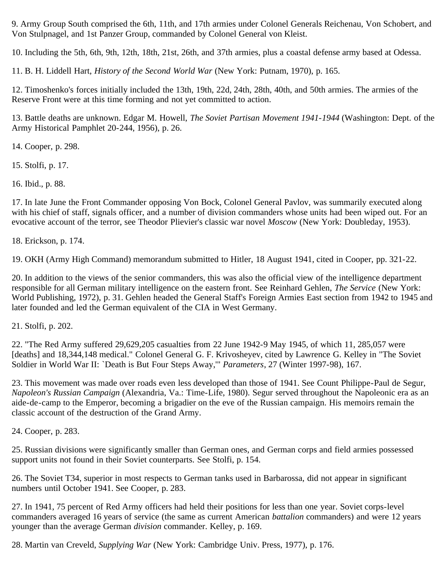9. Army Group South comprised the 6th, 11th, and 17th armies under Colonel Generals Reichenau, Von Schobert, and Von Stulpnagel, and 1st Panzer Group, commanded by Colonel General von Kleist.

10. Including the 5th, 6th, 9th, 12th, 18th, 21st, 26th, and 37th armies, plus a coastal defense army based at Odessa.

11. B. H. Liddell Hart, *History of the Second World War* (New York: Putnam, 1970), p. 165.

12. Timoshenko's forces initially included the 13th, 19th, 22d, 24th, 28th, 40th, and 50th armies. The armies of the Reserve Front were at this time forming and not yet committed to action.

13. Battle deaths are unknown. Edgar M. Howell, *The Soviet Partisan Movement 1941-1944* (Washington: Dept. of the Army Historical Pamphlet 20-244, 1956), p. 26.

14. Cooper, p. 298.

15. Stolfi, p. 17.

16. Ibid., p. 88.

17. In late June the Front Commander opposing Von Bock, Colonel General Pavlov, was summarily executed along with his chief of staff, signals officer, and a number of division commanders whose units had been wiped out. For an evocative account of the terror, see Theodor Plievier's classic war novel *Moscow* (New York: Doubleday, 1953).

18. Erickson, p. 174.

19. OKH (Army High Command) memorandum submitted to Hitler, 18 August 1941, cited in Cooper, pp. 321-22.

20. In addition to the views of the senior commanders, this was also the official view of the intelligence department responsible for all German military intelligence on the eastern front. See Reinhard Gehlen, *The Service* (New York: World Publishing, 1972), p. 31. Gehlen headed the General Staff's Foreign Armies East section from 1942 to 1945 and later founded and led the German equivalent of the CIA in West Germany.

21. Stolfi, p. 202.

22. "The Red Army suffered 29,629,205 casualties from 22 June 1942-9 May 1945, of which 11, 285,057 were [deaths] and 18,344,148 medical." Colonel General G. F. Krivosheyev, cited by Lawrence G. Kelley in "The Soviet Soldier in World War II: `Death is But Four Steps Away,'" *Parameters*, 27 (Winter 1997-98), 167.

23. This movement was made over roads even less developed than those of 1941. See Count Philippe-Paul de Segur, *Napoleon's Russian Campaign* (Alexandria, Va.: Time-Life, 1980). Segur served throughout the Napoleonic era as an aide-de-camp to the Emperor, becoming a brigadier on the eve of the Russian campaign. His memoirs remain the classic account of the destruction of the Grand Army.

24. Cooper, p. 283.

25. Russian divisions were significantly smaller than German ones, and German corps and field armies possessed support units not found in their Soviet counterparts. See Stolfi, p. 154.

26. The Soviet T34, superior in most respects to German tanks used in Barbarossa, did not appear in significant numbers until October 1941. See Cooper, p. 283.

27. In 1941, 75 percent of Red Army officers had held their positions for less than one year. Soviet corps-level commanders averaged 16 years of service (the same as current American *battalion* commanders) and were 12 years younger than the average German *division* commander. Kelley, p. 169.

28. Martin van Creveld, *Supplying War* (New York: Cambridge Univ. Press, 1977), p. 176.